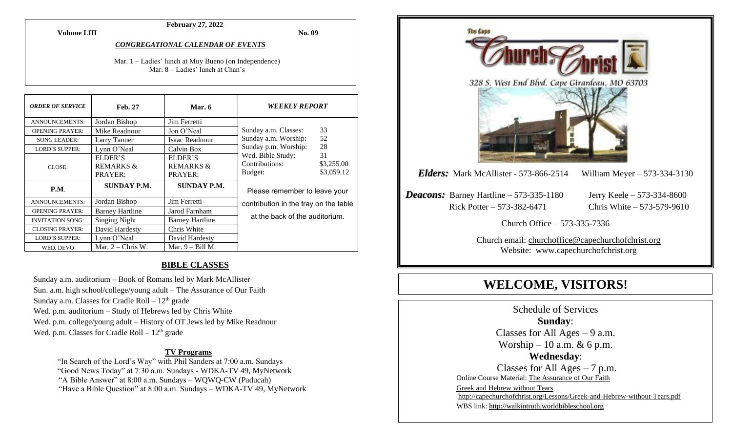**February 27, 2022**

**No. 09**

#### *CONGREGATIONAL CALENDAR OF EVENTS*

Mar. 1 – Ladies' lunch at Muy Bueno (on Independence) Mar. 8 – Ladies' lunch at Chan's

| <b>ORDER OF SERVICE</b> | <b>Feb. 27</b>                             | Mar. $6$                                   | <i><b>WEEKLY REPORT</b></i>                                                                                                                                                |  |
|-------------------------|--------------------------------------------|--------------------------------------------|----------------------------------------------------------------------------------------------------------------------------------------------------------------------------|--|
| <b>ANNOUNCEMENTS:</b>   | Jordan Bishop                              | Jim Ferretti                               |                                                                                                                                                                            |  |
| <b>OPENING PRAYER:</b>  | Mike Readnour                              | Jon O'Neal                                 | 33<br>Sunday a.m. Classes:<br>52<br>Sunday a.m. Worship:<br>28<br>Sunday p.m. Worship:<br>Wed. Bible Study:<br>31<br>Contributions:<br>\$3,255.00<br>\$3,059.12<br>Budget: |  |
| <b>SONG LEADER:</b>     | Larry Tanner                               | Isaac Readnour                             |                                                                                                                                                                            |  |
| <b>LORD'S SUPPER:</b>   | Lynn O'Neal                                | Calvin Box                                 |                                                                                                                                                                            |  |
| CLOSE:                  | ELDER'S<br><b>REMARKS &amp;</b><br>PRAYER: | ELDER'S<br><b>REMARKS &amp;</b><br>PRAYER: |                                                                                                                                                                            |  |
| P.M.                    | SUNDAY P.M.                                | <b>SUNDAY P.M.</b>                         | Please remember to leave your<br>contribution in the tray on the table                                                                                                     |  |
| <b>ANNOUNCEMENTS:</b>   | Jordan Bishop                              | Jim Ferretti                               |                                                                                                                                                                            |  |
| <b>OPENING PRAYER:</b>  | <b>Barney Hartline</b>                     | Jarod Farnham                              |                                                                                                                                                                            |  |
| <b>INVITATION SONG:</b> | <b>Singing Night</b>                       | <b>Barney Hartline</b>                     | at the back of the auditorium.                                                                                                                                             |  |
| <b>CLOSING PRAYER:</b>  | David Hardesty                             | Chris White                                |                                                                                                                                                                            |  |
| <b>LORD'S SUPPER:</b>   | Lynn O'Neal                                | David Hardesty                             |                                                                                                                                                                            |  |
| WED. DEVO               | Mar. $2 -$ Chris W.                        | Mar. $9 - Bill M$ .                        |                                                                                                                                                                            |  |

#### **BIBLE CLASSES**

Sunday a.m. auditorium – Book of Romans led by Mark McAllister Sun. a.m. high school/college/young adult – The Assurance of Our Faith Sunday a.m. Classes for Cradle Roll  $-12<sup>th</sup>$  grade Wed. p.m. auditorium – Study of Hebrews led by Chris White Wed. p.m. college/young adult – History of OT Jews led by Mike Readnour Wed. p.m. Classes for Cradle Roll  $-12<sup>th</sup>$  grade

#### **TV Programs**

"In Search of the Lord's Way" with Phil Sanders at 7:00 a.m. Sundays "Good News Today" at 7:30 a.m. Sundays - WDKA-TV 49, MyNetwork "A Bible Answer" at 8:00 a.m. Sundays – WQWQ-CW (Paducah) "Have a Bible Question" at 8:00 a.m. Sundays – WDKA-TV 49, MyNetwork



# **WELCOME, VISITORS!**

Schedule of Services **Sunday**: Classes for All Ages  $-9$  a.m. Worship – 10 a.m.  $\&$  6 p.m. **Wednesday**: Classes for All Ages  $-7$  p.m. Online Course Material: [The Assurance of Our Faith](http://capechurchofchrist.org/Class%20Material/THE%20ASSURANCE%20OF%20OUR%20FAITH%20(1).pdf) Greek and Hebrew without Tears <http://capechurchofchrist.org/Lessons/Greek-and-Hebrew-without-Tears.pdf> WBS link[: http://walkintruth.worldbibleschool.org](http://walkintruth.worldbibleschool.org/)

#### **Volume LIII**